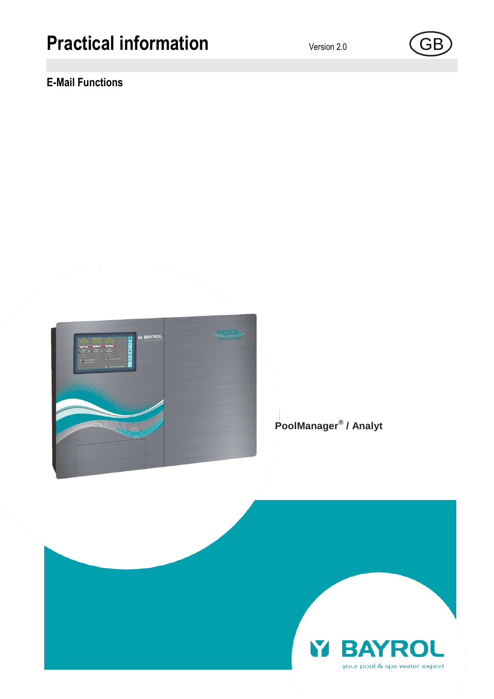# **Practical information** Version 2.0 (GB

# **E-Mail Functions**

**PoolManager® / Analyt**





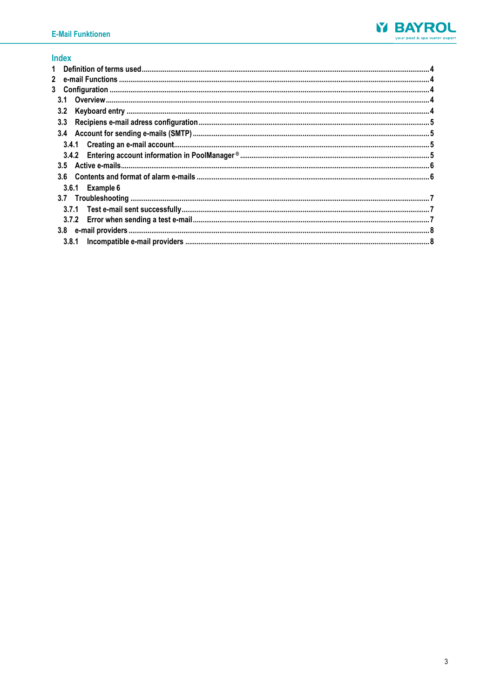

# **Index**

| $\mathbf{2}$    |  |
|-----------------|--|
| 3 <sup>1</sup>  |  |
| 3.1             |  |
| 3.2             |  |
|                 |  |
|                 |  |
|                 |  |
|                 |  |
|                 |  |
|                 |  |
| 3.6.1 Example 6 |  |
|                 |  |
|                 |  |
|                 |  |
|                 |  |
| 3.8.1           |  |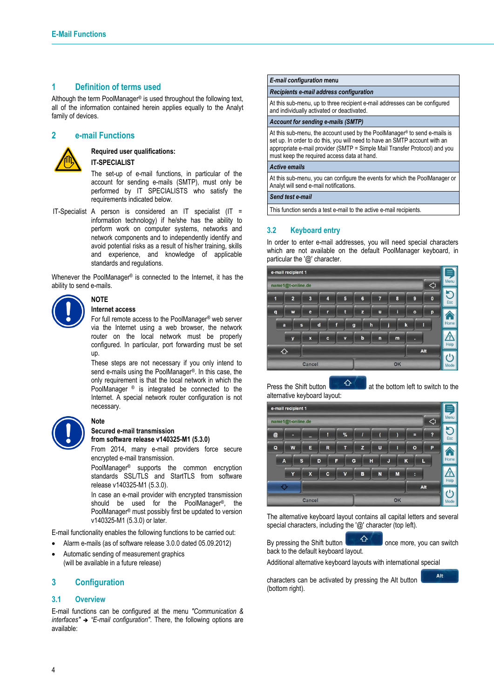# <span id="page-3-0"></span>**1 Definition of terms used**

Although the term PoolManager® is used throughout the following text, all of the information contained herein applies equally to the Analyt family of devices.

# <span id="page-3-1"></span>**2 e-mail Functions**



#### **Required user qualifications: IT-SPECIALIST**

The set-up of e-mail functions, in particular of the account for sending e-mails (SMTP), must only be performed by IT SPECIALISTS who satisfy the requirements indicated below.

IT-Specialist A person is considered an IT specialist (IT = information technology) if he/she has the ability to perform work on computer systems, networks and network components and to independently identify and avoid potential risks as a result of his/her training, skills and experience, and knowledge of applicable standards and regulations.

Whenever the PoolManager® is connected to the Internet, it has the ability to send e-mails.



#### **Internet access**

**NOTE**

**Note**

For full remote access to the PoolManager® web server via the Internet using a web browser, the network router on the local network must be properly configured. In particular, port forwarding must be set up.

These steps are not necessary if you only intend to send e-mails using the PoolManager®. In this case, the only requirement is that the local network in which the PoolManager ® is integrated be connected to the Internet. A special network router configuration is not necessary.



#### **Secured e-mail transmission from software release v140325-M1 (5.3.0)**

From 2014, many e-mail providers force secure encrypted e-mail transmission.

PoolManager® supports the common encryption standards SSL/TLS and StartTLS from software release v140325-M1 (5.3.0).

In case an e-mail provider with encrypted transmission should be used for the PoolManager®, the PoolManager® must possibly first be updated to version v140325-M1 (5.3.0) or later.

E-mail functionality enables the following functions to be carried out:

- Alarm e-mails (as of software release 3.0.0 dated 05.09.2012)
- Automatic sending of measurement graphics (will be available in a future release)

# <span id="page-3-2"></span>**3 Configuration**

#### <span id="page-3-3"></span>**3.1 Overview**

E-mail functions can be configured at the menu *"Communication & interfaces" "E-mail configuration"*. There, the following options are available:

#### *E-mail configuration* **menu**

#### *Recipients e-mail address configuration*

At this sub-menu, up to three recipient e-mail addresses can be configured and individually activated or deactivated.

#### *Account for sending e-mails (SMTP)*

At this sub-menu, the account used by the PoolManager® to send e-mails is set up. In order to do this, you will need to have an SMTP account with an appropriate e-mail provider (SMTP = Simple Mail Transfer Protocol) and you must keep the required access data at hand.

#### *Active emails*

At this sub-menu, you can configure the events for which the PoolManager or Analyt will send e-mail notifications.

#### *Send test e-mail*

This function sends a test e-mail to the active e-mail recipients.

# <span id="page-3-4"></span>**3.2 Keyboard entry**

In order to enter e-mail addresses, you will need special characters which are not available on the default PoolManager keyboard, in particular the '@' character.



Press the Shift button  $\overline{a}$  at the bottom left to switch to the alternative keyboard layout:

|                | e-mail recipient 1 |                         |   |                         |                |   |    |         |     |      |
|----------------|--------------------|-------------------------|---|-------------------------|----------------|---|----|---------|-----|------|
|                | name1@t-online.de  |                         |   |                         |                |   |    |         |     | Menu |
| $\circleda$    | Е                  | =                       | Ţ | %                       | $\overline{I}$ |   |    | Ξ       | ?   | Esc  |
| $\mathbf Q$    | W                  | E                       | R | T                       | z              | U | Т  | $\circ$ | P   |      |
| $\overline{A}$ | $\mathbf{s}$       |                         | D | F                       | G              | н | J  | K       | L   | Home |
|                | Y                  | $\overline{\mathbf{x}}$ | c | $\overline{\mathbf{v}}$ | B              | N | M  | R       |     |      |
|                |                    |                         |   |                         |                |   |    |         | Alt | Help |
|                |                    | Cancel                  |   |                         |                |   | OK |         |     | Mode |

The alternative keyboard layout contains all capital letters and several special characters, including the '@' character (top left).

By pressing the Shift button  $\mathbb{G}$  once more, you can switch back to the default keyboard layout.

Additional alternative keyboard layouts with international special

Alt

characters can be activated by pressing the Alt button (bottom right).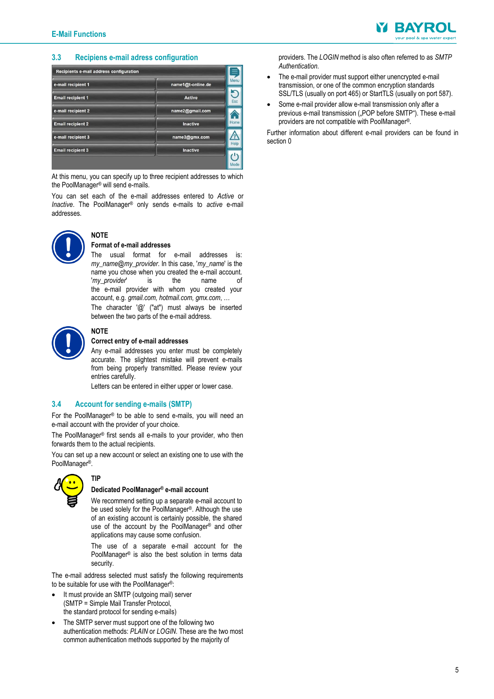

### <span id="page-4-0"></span>**3.3 Recipiens e-mail adress configuration**

| Recipients e-mail address configuration |                   |      |
|-----------------------------------------|-------------------|------|
| e-mail recipient 1                      | name1@t-online.de | Menu |
| <b>Email recipient 1</b>                | <b>Active</b>     | Esc  |
| e-mail recipient 2                      | name2@gmail.com   |      |
| <b>Email recipient 2</b>                | <b>Inactive</b>   | Home |
| e-mail recipient 3                      | name3@gmx.com     | Help |
| <b>Email recipient 3</b>                | <b>Inactive</b>   |      |
|                                         |                   |      |

At this menu, you can specify up to three recipient addresses to which the PoolManager® will send e-mails.

You can set each of the e-mail addresses entered to *Active* or *Inactive*. The PoolManager® only sends e-mails to *active* e-mail addresses.



#### **NOTE Format of e-mail addresses**

**NOTE**

The usual format for e-mail addresses is: *my\_name*@*my\_provider*. In this case, '*my\_name*' is the name you chose when you created the e-mail account. '*my\_provider*' is the name of the e-mail provider with whom you created your account, e.g. *gmail.com, hotmail.com, gmx.com*, … The character '@' ("at") must always be inserted between the two parts of the e-mail address.



#### **Correct entry of e-mail addresses**

Any e-mail addresses you enter must be completely accurate. The slightest mistake will prevent e-mails from being properly transmitted. Please review your entries carefully.

Letters can be entered in either upper or lower case.

#### <span id="page-4-1"></span>**3.4 Account for sending e-mails (SMTP)**

For the PoolManager® to be able to send e-mails, you will need an e-mail account with the provider of your choice.

The PoolManager® first sends all e-mails to your provider, who then forwards them to the actual recipients.

You can set up a new account or select an existing one to use with the PoolManager®.



**TIP**

#### **Dedicated PoolManager® e-mail account**

We recommend setting up a separate e-mail account to be used solely for the PoolManager®. Although the use of an existing account is certainly possible, the shared use of the account by the PoolManager® and other applications may cause some confusion.

The use of a separate e-mail account for the PoolManager® is also the best solution in terms data security.

The e-mail address selected must satisfy the following requirements to be suitable for use with the PoolManager®:

- It must provide an SMTP (outgoing mail) server (SMTP = Simple Mail Transfer Protocol, the standard protocol for sending e-mails)
- The SMTP server must support one of the following two authentication methods: *PLAIN* or *LOGIN*. These are the two most common authentication methods supported by the majority of

providers. The *LOGIN* method is also often referred to as *SMTP Authentication*.

- The e-mail provider must support either unencrypted e-mail transmission, or one of the common encryption standards SSL/TLS (usually on port 465) or StartTLS (usually on port 587).
- Some e-mail provider allow e-mail transmission only after a previous e-mail transmission ("POP before SMTP"). These e-mail providers are not compatible with PoolManager®.

Further information about different e-mail providers can be found in sectio[n 0](#page-7-3)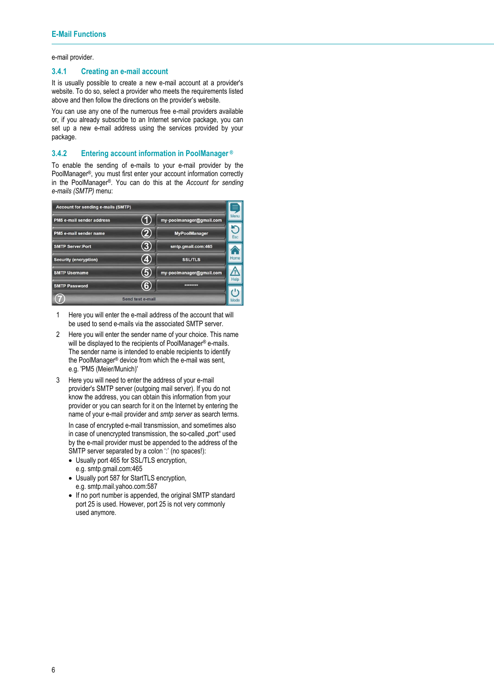e-mail [provider.](#page-7-3)

#### <span id="page-5-0"></span>**3.4.1 Creating an e-mail account**

It is usually possible to create a new e-mail account at a provider's website. To do so, select a provider who meets the requirements listed above and then follow the directions on the provider's website.

You can use any one of the numerous free e-mail providers available or, if you already subscribe to an Internet service package, you can set up a new e-mail address using the services provided by your package.

#### <span id="page-5-1"></span>**3.4.2 Entering account information in PoolManager ®**

To enable the sending of e-mails to your e-mail provider by the PoolManager®, you must first enter your account information correctly in the PoolManager®. You can do this at the *Account for sending e-mails (SMTP)* menu:



- 1 Here you will enter the e-mail address of the account that will be used to send e-mails via the associated SMTP server.
- 2 Here you will enter the sender name of your choice. This name will be displayed to the recipients of PoolManager® e-mails. The sender name is intended to enable recipients to identify the PoolManager® device from which the e-mail was sent, e.g. 'PM5 (Meier/Munich)'
- 3 Here you will need to enter the address of your e-mail provider's SMTP server (outgoing mail server). If you do not know the address, you can obtain this information from your provider or you can search for it on the Internet by entering the name of your e-mail provider and *smtp server* as search terms.

In case of encrypted e-mail transmission, and sometimes also in case of unencrypted transmission, the so-called .port used by the e-mail provider must be appended to the address of the SMTP server separated by a colon " (no spaces!):

- Usually port 465 for SSL/TLS encryption, e.g. smtp.gmail.com:465
- Usually port 587 for StartTLS encryption, e.g. smtp.mail.yahoo.com:587
- If no port number is appended, the original SMTP standard port 25 is used. However, port 25 is not very commonly used anymore.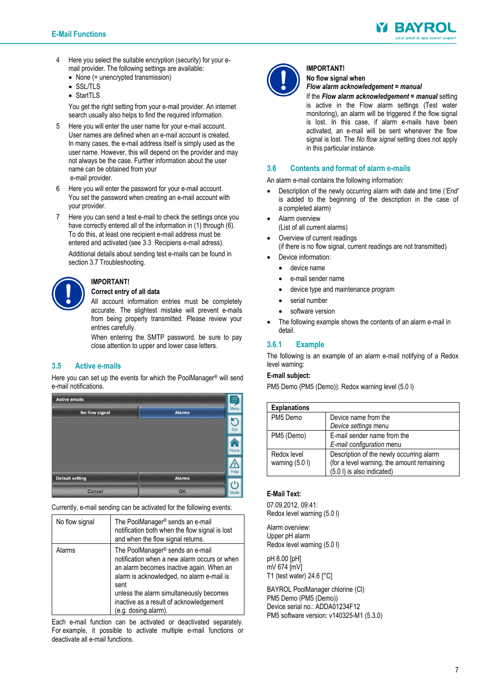

- 4 Here you select the suitable encryption (security) for your email provider. The following settings are available:
	- None (= unencrypted transmission)
	- SSL/TLS
	- StartTLS

You get the right setting from your e-mail provider. An internet search usually also helps to find the required information.

- 5 Here you will enter the user name for your e-mail account. User names are defined when an e-mail account is created. In many cases, the e-mail address itself is simply used as the user name. However, this will depend on the provider and may not always be the case. Further information about the user name can be obtained from your e-mail provider.
- 6 Here you will enter the password for your e-mail account. You set the password when creating an e-mail account with your provider.
- 7 Here you can send a test e-mail to check the settings once you have correctly entered all of the information in (1) through (6). To do this, at least one recipient e-mail address must be entered and activated (see [3.3 Recipiens](#page-4-0) e-mail adress).

Additional details about sending test e-mails can be found in sectio[n 3.7](#page-7-0) [Troubleshooting.](#page-7-0)

#### **Correct entry of all data**

**IMPORTANT!**

All account information entries must be completely accurate. The slightest mistake will prevent e-mails from being properly transmitted. Please review your entries carefully.

When entering the SMTP password, be sure to pay close attention to upper and lower case letters.

# <span id="page-6-0"></span>**3.5 Active e-mails**

Here you can set up the events for which the PoolManager® will send e-mail notifications.



Currently, e-mail sending can be activated for the following events:

| No flow signal | The PoolManager <sup>®</sup> sends an e-mail<br>notification both when the flow signal is lost<br>and when the flow signal returns.                                                                                                                                                                         |
|----------------|-------------------------------------------------------------------------------------------------------------------------------------------------------------------------------------------------------------------------------------------------------------------------------------------------------------|
| Alarms         | The PoolManager <sup>®</sup> sends an e-mail<br>notification when a new alarm occurs or when<br>an alarm becomes inactive again. When an<br>alarm is acknowledged, no alarm e-mail is<br>sent<br>unless the alarm simultaneously becomes<br>inactive as a result of acknowledgement<br>(e.g. dosing alarm). |

Each e-mail function can be activated or deactivated separately. For example, it possible to activate multiple e-mail functions or deactivate all e-mail functions.



#### **IMPORTANT! No flow signal when**

#### *Flow alarm acknowledgement* **=** *manual*

If the *Flow alarm acknowledgement* **=** *manual* setting is active in the Flow alarm settings (Test water monitoring), an alarm will be triggered if the flow signal is lost. In this case, if alarm e-mails have been activated, an e-mail will be sent whenever the flow signal is lost. The *No flow signal* setting does not apply in this particular instance.

# <span id="page-6-1"></span>**3.6 Contents and format of alarm e-mails**

An alarm e-mail contains the following information:

- Description of the newly occurring alarm with date and time (*'End'* is added to the beginning of the description in the case of a completed alarm)
- Alarm overview
	- (List of all current alarms)
- Overview of current readings (if there is no flow signal, current readings are not transmitted)
- Device information:
	- **e** device name
	- e-mail sender name
	- device type and maintenance program
	- serial number
	- software version
- The following example shows the contents of an alarm e-mail in detail.

# <span id="page-6-2"></span>**3.6.1 Example**

The following is an example of an alarm e-mail notifying of a Redox level warning:

# **E-mail subject:**

PM5 Demo (PM5 (Demo)): Redox warning level (5.0 l)

| <b>Explanations</b>             |                                                                                                                      |
|---------------------------------|----------------------------------------------------------------------------------------------------------------------|
| PM5 Demo                        | Device name from the<br>Device settings menu                                                                         |
| PM5 (Demo)                      | E-mail sender name from the<br>E-mail configuration menu                                                             |
| Redox level<br>warning $(5.01)$ | Description of the newly occurring alarm<br>(for a level warning, the amount remaining<br>(5.0 l) is also indicated) |

#### **E-Mail Text:**

07.09.2012, 09:41: Redox level warning (5.0 l)

Alarm overview: Upper pH alarm Redox level warning (5.0 l)

pH 8.00 [pH] mV 674 [mV] T1 (test water) 24.6 [°C]

BAYROL PoolManager chlorine (Cl) PM5 Demo (PM5 (Demo)) Device serial no.: ADDA01234F12 PM5 software version: v140325-M1 (5.3.0)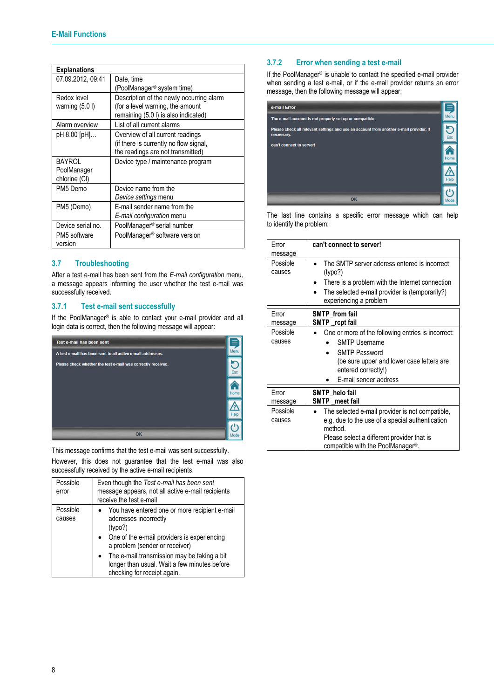| <b>Explanations</b>                    |                                                                                                                      |
|----------------------------------------|----------------------------------------------------------------------------------------------------------------------|
| 07.09.2012, 09:41                      | Date, time<br>(PoolManager <sup>®</sup> system time)                                                                 |
| Redox level<br>warning $(5.0)$         | Description of the newly occurring alarm<br>(for a level warning, the amount<br>remaining (5.0 l) is also indicated) |
| Alarm overview                         | List of all current alarms                                                                                           |
| pH 8.00 [pH]                           | Overview of all current readings<br>(if there is currently no flow signal,<br>the readings are not transmitted)      |
| BAYROL<br>PoolManager<br>chlorine (CI) | Device type / maintenance program                                                                                    |
| PM5 Demo                               | Device name from the<br>Device settings menu                                                                         |
| PM5 (Demo)                             | F-mail sender name from the<br>E-mail configuration menu                                                             |
| Device serial no.                      | PoolManager <sup>®</sup> serial number                                                                               |
| PM5 software<br>version                | PoolManager <sup>®</sup> software version                                                                            |

# <span id="page-7-0"></span>**3.7 Troubleshooting**

After a test e-mail has been sent from the *E-mail configuration* menu, a message appears informing the user whether the test e-mail was successfully received.

# <span id="page-7-1"></span>**3.7.1 Test e-mail sent successfully**

If the PoolManager® is able to contact your e-mail provider and all login data is correct, then the following message will appear:



<span id="page-7-3"></span>This message confirms that the test e-mail was sent successfully.

However, this does not guarantee that the test e-mail was also successfully received by the active e-mail recipients.

<span id="page-7-2"></span>

| Possible<br>error  | Even though the Test e-mail has been sent<br>message appears, not all active e-mail recipients<br>receive the test e-mail                                              |
|--------------------|------------------------------------------------------------------------------------------------------------------------------------------------------------------------|
| Possible<br>causes | • You have entered one or more recipient e-mail<br>addresses incorrectly<br>(typo?)<br>• One of the e-mail providers is experiencing<br>a problem (sender or receiver) |
|                    | The e-mail transmission may be taking a bit<br>longer than usual. Wait a few minutes before<br>checking for receipt again.                                             |

# **3.7.2 Error when sending a test e-mail**

If the PoolManager® is unable to contact the specified e-mail provider when sending a test e-mail, or if the e-mail provider returns an error message, then the following message will appear:

| e-mail Error                                                                                         |            |
|------------------------------------------------------------------------------------------------------|------------|
| The e-mail account is not properly set up or compatible.                                             | Menu       |
| Please check all relevant settings and use an account from another e-mail provider, if<br>necessary. | <b>Esc</b> |
| can't connect to server!                                                                             | Home       |
|                                                                                                      |            |
| OK                                                                                                   | Mode       |

The last line contains a specific error message which can help to identify the problem:

| Frror<br>message   | can't connect to server!                                                                                                                                                                                      |
|--------------------|---------------------------------------------------------------------------------------------------------------------------------------------------------------------------------------------------------------|
| Possible<br>causes | The SMTP server address entered is incorrect<br>(typo?)<br>There is a problem with the Internet connection<br>The selected e-mail provider is (temporarily?)<br>experiencing a problem                        |
| Error<br>message   | <b>SMTP</b> from fail<br>SMTP rcpt fail                                                                                                                                                                       |
| Possible<br>causes | One or more of the following entries is incorrect:<br><b>SMTP Username</b><br><b>SMTP Password</b><br>(be sure upper and lower case letters are<br>entered correctly!)<br>E-mail sender address               |
| Frror<br>message   | SMTP helo fail<br><b>SMTP</b> meet fail                                                                                                                                                                       |
| Possible<br>causes | The selected e-mail provider is not compatible,<br>e.g. due to the use of a special authentication<br>method.<br>Please select a different provider that is<br>compatible with the PoolManager <sup>®</sup> . |